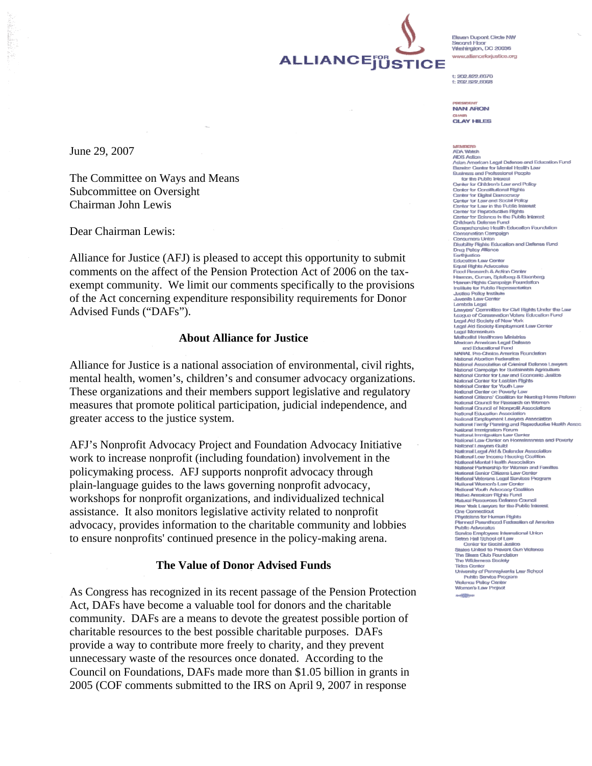

Firearn Dunorit Circle NM Served Finan Second Floor<br>Wiednington, DC 20036 www.allianceforjustice.org

 $n$ ma eea ene 202.822.60

**NAN ARON CLAY HILES** 

June 29, 2007

The Committee on Ways and Means Subcommittee on Oversight Chairman John Lewis

Dear Chairman Lewis:

Alliance for Justice (AFJ) is pleased to accept this opportunity to submit comments on the affect of the Pension Protection Act of 2006 on the taxexempt community. We limit our comments specifically to the provisions of the Act concerning expenditure responsibility requirements for Donor Advised Funds ("DAFs").

## **About Alliance for Justice**

Alliance for Justice is a national association of environmental, civil rights, mental health, women's, children's and consumer advocacy organizations. These organizations and their members support legislative and regulatory measures that promote political participation, judicial independence, and greater access to the justice system.

AFJ's Nonprofit Advocacy Project and Foundation Advocacy Initiative work to increase nonprofit (including foundation) involvement in the policymaking process. AFJ supports nonprofit advocacy through plain-language guides to the laws governing nonprofit advocacy, workshops for nonprofit organizations, and individualized technical assistance. It also monitors legislative activity related to nonprofit advocacy, provides information to the charitable community and lobbies to ensure nonprofits' continued presence in the policy-making arena.

## **The Value of Donor Advised Funds**

As Congress has recognized in its recent passage of the Pension Protection Act, DAFs have become a valuable tool for donors and the charitable community. DAFs are a means to devote the greatest possible portion of charitable resources to the best possible charitable purposes. DAFs provide a way to contribute more freely to charity, and they prevent unnecessary waste of the resources once donated. According to the Council on Foundations, DAFs made more than \$1.05 billion in grants in 2005 (COF comments submitted to the IRS on April 9, 2007 in response

MEMBERS<br>ADA Watch **AIDS Action** Asian American Legal Defense and Education Fund Revelop Center for Mental Health Law Diseasur to water for a ware and professional People<br>Eusiness and Professional People<br>Sunter for Children's Law and Policy<br>Center for Constitutional Rights Center for Digital Democracy Conter for Law and Social Policy Conter for Law in the Public Inte Carear for Law in this runne member<br>Center for Bejoroducible Filghts<br>Center for Science in the Public Interest<br>Clompedromake Health Education Foundation<br>Compedromake Health Education Foundation Conservation Campaign **Consumers Union** Consumers oman<br>Disability Fights Education and Defense Fund<br>Disability Fights<br>Education Law Center<br>Education Law Center Equal Rights Advocates Food Research & Action Center ricoo resisaron e rocon vas ita<br>Haman, Curran, Spisbang & Eisanbiag<br>Human Righis Campaign Foundation<br>Institute for Public Representation insialies for Future resp.<br>Juvenile Law Center<br>Lamfada Legal Lawyers' Committee for Civil Rights Under the Law League of Conservation Voters Education Fund Least Aid Society of New York NARAL Pro-Choice America Foundation National Abortion Federation. reason as rowww.mi i volesses...<br>National Association of Criminal Defense Lawwars research Material Communication of Continental Agriculture<br>National Compaign for Easteinable Agriculture<br>National Comter for Lesblan Rights National Center for Youth Law National Center on Poverty Law National Citizens' Coalition for Nursing Home Reform National Circums's Cookeen for Neurang Fremerican<br>International Council for Research on Women<br>National Council of Nonprofil Associations<br>National Exployment Lewiyers<br>Association<br>National Employment Lewiyers Association<br>Nat -<br>National Immigration Forum<br>National Immigration Law Center<br>National Law Center on Homelessness and Poverty National Lass Center, on Homelessmess and P<br>National Lass Center, Suite National Lass Andre<br>National Louis And A Defender Association<br>National Louis Income Housing Costition<br>National Mental Hastih Association<br>National Pari National Veterans Legal Scrvices Program Matikinal Women's Law Center National Youth Advacacy Coalition realidred vouen riciriocalisy Gaaliaan<br>Natural Resources Defenee Council<br>New York Lawyers for the Public Inter **One Connecticut** One Connectiout<br>Physicians for Human Rights Planned Parenthood Federation of America<br>Public Advocatos Public Providences<br>Setten Hall School of Law<br>Setten Hall School of Law<br>Center for Social Justice<br>States United to Prevent Gun Victorice **The Sleara Club Foundation** The Wilderness Society **Tides Center** nuss vonna<br>University of Pennsylvania Law School<br>Public Service Program<br>Violenca Policy Center<br>Women's Law Project  $A = \frac{1}{2}$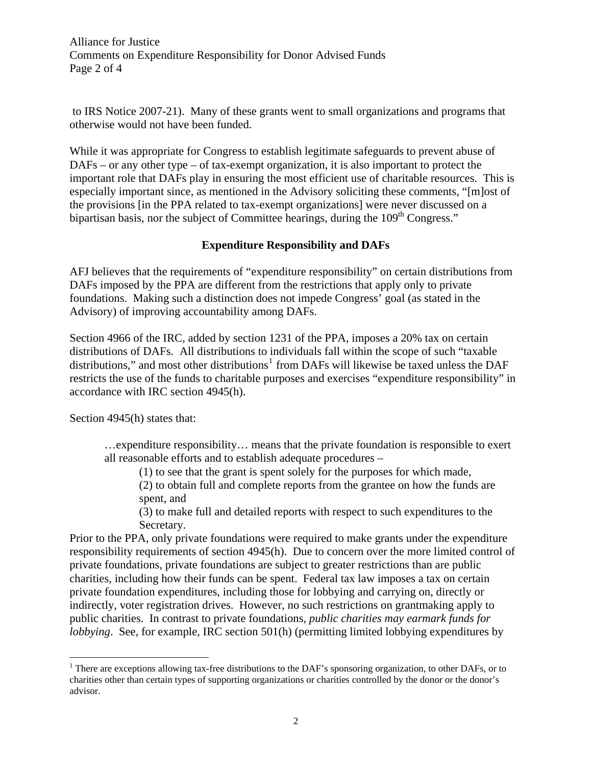Alliance for Justice Comments on Expenditure Responsibility for Donor Advised Funds Page 2 of 4

 to IRS Notice 2007-21). Many of these grants went to small organizations and programs that otherwise would not have been funded.

While it was appropriate for Congress to establish legitimate safeguards to prevent abuse of DAFs – or any other type – of tax-exempt organization, it is also important to protect the important role that DAFs play in ensuring the most efficient use of charitable resources. This is especially important since, as mentioned in the Advisory soliciting these comments, "[m]ost of the provisions [in the PPA related to tax-exempt organizations] were never discussed on a bipartisan basis, nor the subject of Committee hearings, during the 109<sup>th</sup> Congress."

## **Expenditure Responsibility and DAFs**

AFJ believes that the requirements of "expenditure responsibility" on certain distributions from DAFs imposed by the PPA are different from the restrictions that apply only to private foundations. Making such a distinction does not impede Congress' goal (as stated in the Advisory) of improving accountability among DAFs.

Section 4966 of the IRC, added by section 1231 of the PPA, imposes a 20% tax on certain distributions of DAFs. All distributions to individuals fall within the scope of such "taxable distributions," and most other distributions<sup>[1](#page-1-0)</sup> from DAFs will likewise be taxed unless the DAF restricts the use of the funds to charitable purposes and exercises "expenditure responsibility" in accordance with IRC section 4945(h).

Section 4945(h) states that:

 $\overline{a}$ 

…expenditure responsibility… means that the private foundation is responsible to exert all reasonable efforts and to establish adequate procedures –

(1) to see that the grant is spent solely for the purposes for which made,

(2) to obtain full and complete reports from the grantee on how the funds are spent, and

(3) to make full and detailed reports with respect to such expenditures to the Secretary.

Prior to the PPA, only private foundations were required to make grants under the expenditure responsibility requirements of section 4945(h). Due to concern over the more limited control of private foundations, private foundations are subject to greater restrictions than are public charities, including how their funds can be spent. Federal tax law imposes a tax on certain private foundation expenditures, including those for lobbying and carrying on, directly or indirectly, voter registration drives. However, no such restrictions on grantmaking apply to public charities. In contrast to private foundations, *public charities may earmark funds for lobbying*. See, for example, IRC section 501(h) (permitting limited lobbying expenditures by

<span id="page-1-0"></span><sup>&</sup>lt;sup>1</sup> There are exceptions allowing tax-free distributions to the DAF's sponsoring organization, to other DAFs, or to charities other than certain types of supporting organizations or charities controlled by the donor or the donor's advisor.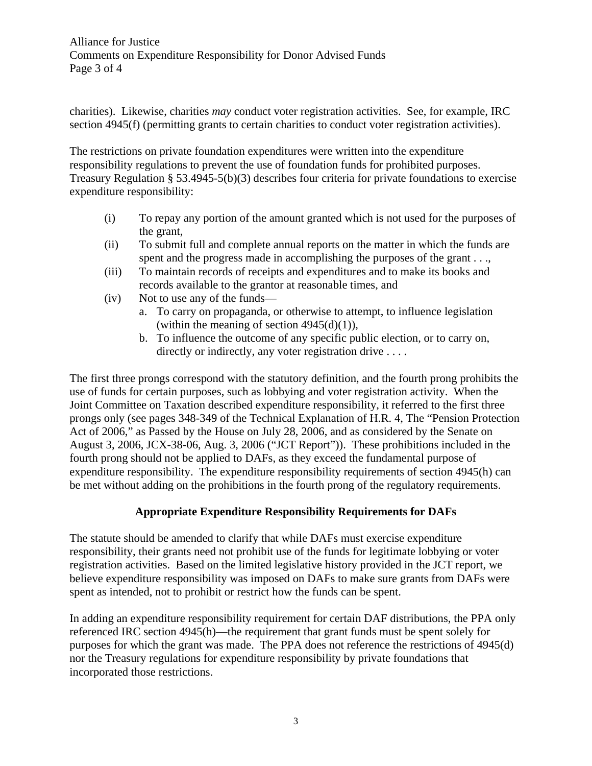Alliance for Justice Comments on Expenditure Responsibility for Donor Advised Funds Page 3 of 4

charities). Likewise, charities *may* conduct voter registration activities. See, for example, IRC section 4945(f) (permitting grants to certain charities to conduct voter registration activities).

The restrictions on private foundation expenditures were written into the expenditure responsibility regulations to prevent the use of foundation funds for prohibited purposes. Treasury Regulation § 53.4945-5(b)(3) describes four criteria for private foundations to exercise expenditure responsibility:

- (i) To repay any portion of the amount granted which is not used for the purposes of the grant,
- (ii) To submit full and complete annual reports on the matter in which the funds are spent and the progress made in accomplishing the purposes of the grant . . .,
- (iii) To maintain records of receipts and expenditures and to make its books and records available to the grantor at reasonable times, and
- (iv) Not to use any of the funds
	- a. To carry on propaganda, or otherwise to attempt, to influence legislation (within the meaning of section  $4945(d)(1)$ ),
	- b. To influence the outcome of any specific public election, or to carry on, directly or indirectly, any voter registration drive ....

The first three prongs correspond with the statutory definition, and the fourth prong prohibits the use of funds for certain purposes, such as lobbying and voter registration activity. When the Joint Committee on Taxation described expenditure responsibility, it referred to the first three prongs only (see pages 348-349 of the Technical Explanation of H.R. 4, The "Pension Protection Act of 2006," as Passed by the House on July 28, 2006, and as considered by the Senate on August 3, 2006, JCX-38-06, Aug. 3, 2006 ("JCT Report")). These prohibitions included in the fourth prong should not be applied to DAFs, as they exceed the fundamental purpose of expenditure responsibility. The expenditure responsibility requirements of section 4945(h) can be met without adding on the prohibitions in the fourth prong of the regulatory requirements.

## **Appropriate Expenditure Responsibility Requirements for DAFs**

The statute should be amended to clarify that while DAFs must exercise expenditure responsibility, their grants need not prohibit use of the funds for legitimate lobbying or voter registration activities. Based on the limited legislative history provided in the JCT report, we believe expenditure responsibility was imposed on DAFs to make sure grants from DAFs were spent as intended, not to prohibit or restrict how the funds can be spent.

In adding an expenditure responsibility requirement for certain DAF distributions, the PPA only referenced IRC section 4945(h)—the requirement that grant funds must be spent solely for purposes for which the grant was made. The PPA does not reference the restrictions of 4945(d) nor the Treasury regulations for expenditure responsibility by private foundations that incorporated those restrictions.